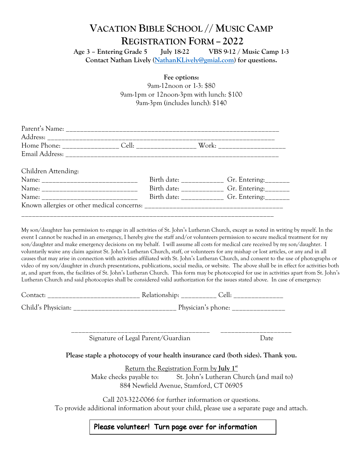## **VACATION BIBLE SCHOOL // MUSIC CAMP REGISTRATION FORM – 2022**

**Age 3 – Entering Grade 5 July 18-22 VBS 9-12 / Music Camp 1-3 Contact Nathan Lively (NathanKLively@gmial.com) for questions.**

**Fee options:** 

9am-12noon or 1-3: \$80 9am-1pm or 12noon-3pm with lunch: \$100 9am-3pm (includes lunch): \$140

| Children Attending: |  |                                                 |
|---------------------|--|-------------------------------------------------|
|                     |  |                                                 |
|                     |  | Birth date: _____________ Gr. Entering: _______ |
|                     |  | Birth date: ____________ Gr. Entering: _______  |
|                     |  |                                                 |
|                     |  |                                                 |

My son/daughter has permission to engage in all activities of St. John's Lutheran Church, except as noted in writing by myself. In the event I cannot be reached in an emergency, I hereby give the staff and/or volunteers permission to secure medical treatment for my son/daughter and make emergency decisions on my behalf. I will assume all costs for medical care received by my son/daughter. I voluntarily waive any claim against St. John's Lutheran Church, staff, or volunteers for any mishap or lost articles, or any and in all causes that may arise in connection with activities affiliated with St. John's Lutheran Church, and consent to the use of photographs or video of my son/daughter in church presentations, publications, social media, or website. The above shall be in effect for activities both at, and apart from, the facilities of St. John's Lutheran Church. This form may be photocopied for use in activities apart from St. John's Lutheran Church and said photocopies shall be considered valid authorization for the issues stated above. In case of emergency:

| Contact            | Relationship:<br>ااه |
|--------------------|----------------------|
| Child's Physician: | Physician's phone:   |

Signature of Legal Parent/Guardian Date

**Please staple a photocopy of your health insurance card (both sides). Thank you.**

\_\_\_\_\_\_\_\_\_\_\_\_\_\_\_\_\_\_\_\_\_\_\_\_\_\_\_\_\_\_\_\_\_\_\_\_\_\_\_ \_\_\_\_\_\_\_\_\_\_\_\_\_\_\_\_\_\_\_\_

Return the Registration Form by **July 1st** Make checks payable to: St. John's Lutheran Church (and mail to) 884 Newfield Avenue, Stamford, CT 06905

Call 203-322-0066 for further information or questions. To provide additional information about your child, please use a separate page and attach.

## Please volunteer! Turn page over for information